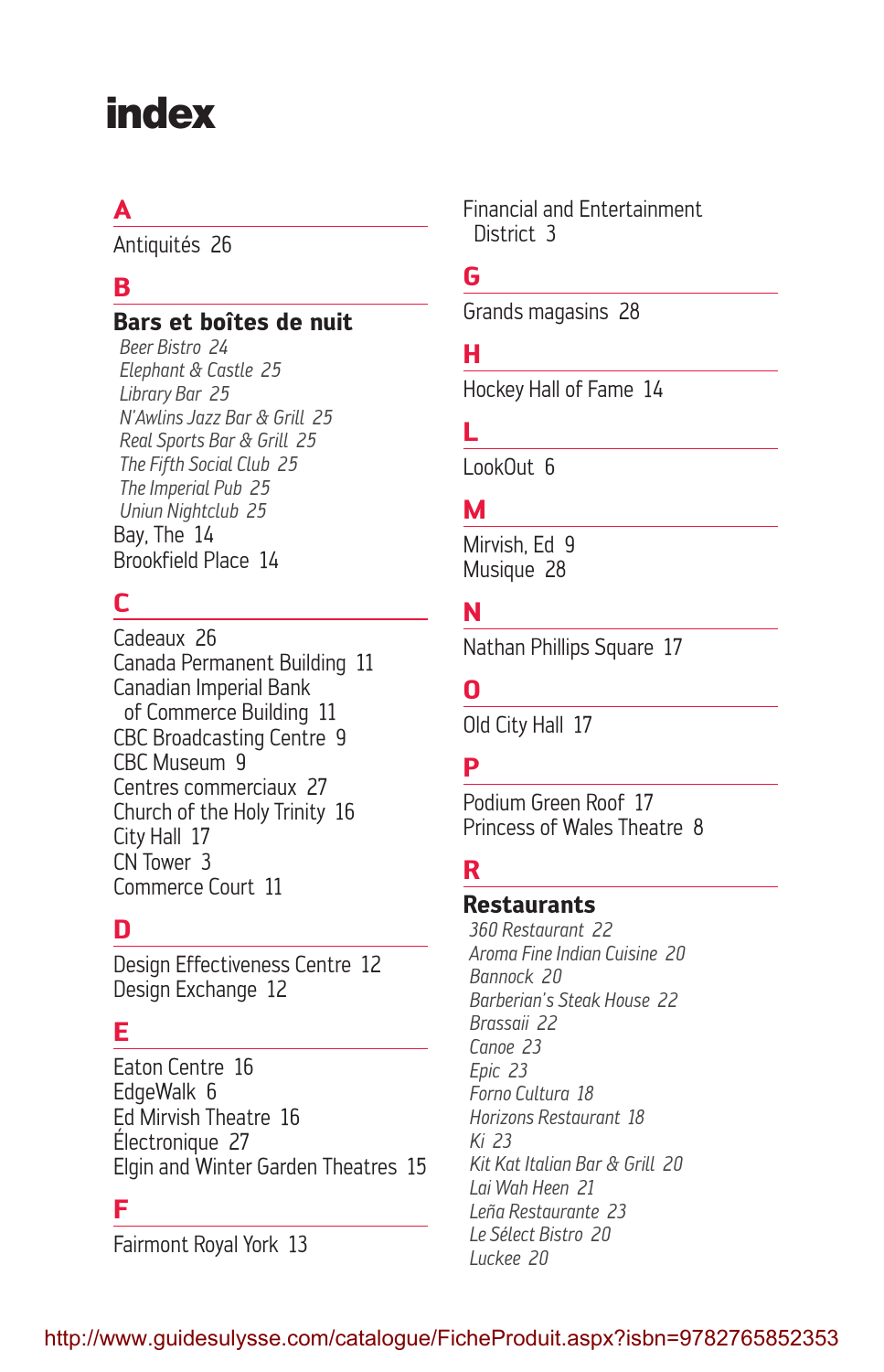# index

## **A**

Antiquités 26

## **B**

#### **Bars et boîtes de nuit**

*Beer Bistro 24 Elephant & Castle 25 Library Bar 25 N'Awlins Jazz Bar & Grill 25 Real Sports Bar & Grill 25 The Fifth Social Club 25 The Imperial Pub 25 Uniun Nightclub 25* Bay, The 14 Brookfield Place 14

## **C**

Cadeaux 26 Canada Permanent Building 11 Canadian Imperial Bank of Commerce Building 11 CBC Broadcasting Centre 9 CBC Museum 9 Centres commerciaux 27 Church of the Holy Trinity 16 City Hall 17 CN Tower 3 Commerce Court 11

### **D**

Design Effectiveness Centre 12 Design Exchange 12

## **E**

Eaton Centre 16 EdgeWalk 6 Ed Mirvish Theatre 16 Électronique 27 Elgin and Winter Garden Theatres 15

#### **F**

Fairmont Royal York 13

Financial and Entertainment District 3

#### **G**

Grands magasins 28

#### **H**

Hockey Hall of Fame 14

### **L**

LookOut 6

#### **M**

Mirvish, Fd 9 Musique 28

#### **N**

Nathan Phillips Square 17

#### **O**

Old City Hall 17

## **P**

Podium Green Roof 17 Princess of Wales Theatre 8

#### **R**

#### **Restaurants**

*360 Restaurant 22 Aroma Fine Indian Cuisine 20 Bannock 20 Barberian's Steak House 22 Brassaii 22 Canoe 23 Epic 23 Forno Cultura 18 Horizons Restaurant 18 Ki 23 Kit Kat Italian Bar & Grill 20 Lai Wah Heen 21 Leña Restaurante 23 Le Sélect Bistro 20 Luckee 20*